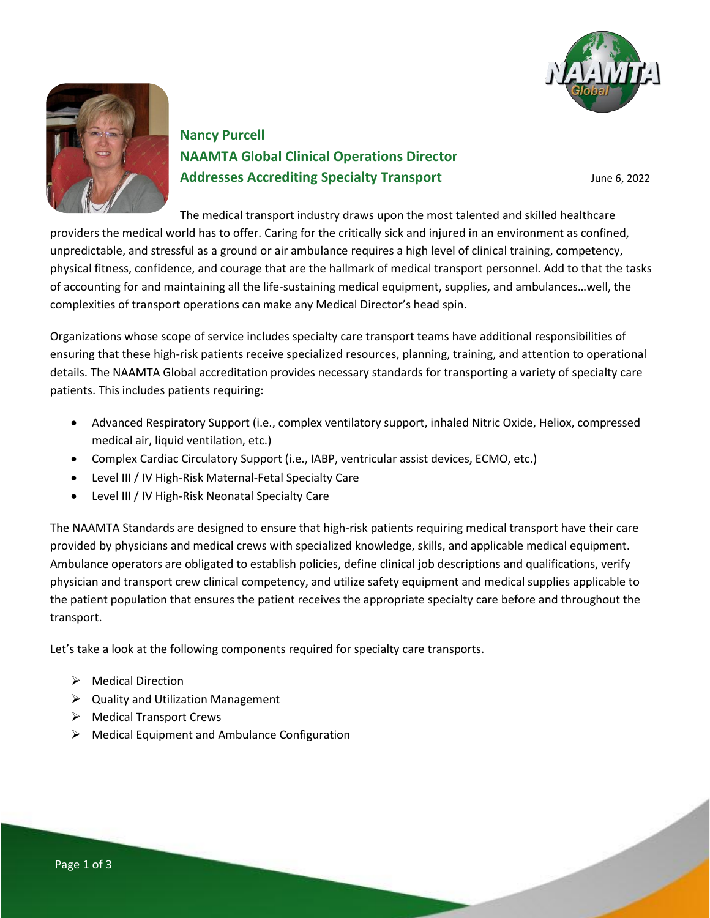



# **Nancy Purcell NAAMTA Global Clinical Operations Director Addresses Accrediting Specialty Transport** June 6, 2022

The medical transport industry draws upon the most talented and skilled healthcare

providers the medical world has to offer. Caring for the critically sick and injured in an environment as confined, unpredictable, and stressful as a ground or air ambulance requires a high level of clinical training, competency, physical fitness, confidence, and courage that are the hallmark of medical transport personnel. Add to that the tasks of accounting for and maintaining all the life-sustaining medical equipment, supplies, and ambulances…well, the complexities of transport operations can make any Medical Director's head spin.

Organizations whose scope of service includes specialty care transport teams have additional responsibilities of ensuring that these high-risk patients receive specialized resources, planning, training, and attention to operational details. The NAAMTA Global accreditation provides necessary standards for transporting a variety of specialty care patients. This includes patients requiring:

- Advanced Respiratory Support (i.e., complex ventilatory support, inhaled Nitric Oxide, Heliox, compressed medical air, liquid ventilation, etc.)
- Complex Cardiac Circulatory Support (i.e., IABP, ventricular assist devices, ECMO, etc.)
- Level III / IV High-Risk Maternal-Fetal Specialty Care
- Level III / IV High-Risk Neonatal Specialty Care

The NAAMTA Standards are designed to ensure that high-risk patients requiring medical transport have their care provided by physicians and medical crews with specialized knowledge, skills, and applicable medical equipment. Ambulance operators are obligated to establish policies, define clinical job descriptions and qualifications, verify physician and transport crew clinical competency, and utilize safety equipment and medical supplies applicable to the patient population that ensures the patient receives the appropriate specialty care before and throughout the transport.

Let's take a look at the following components required for specialty care transports.

- ➢ Medical Direction
- $\triangleright$  Quality and Utilization Management
- ➢ Medical Transport Crews
- $\triangleright$  Medical Equipment and Ambulance Configuration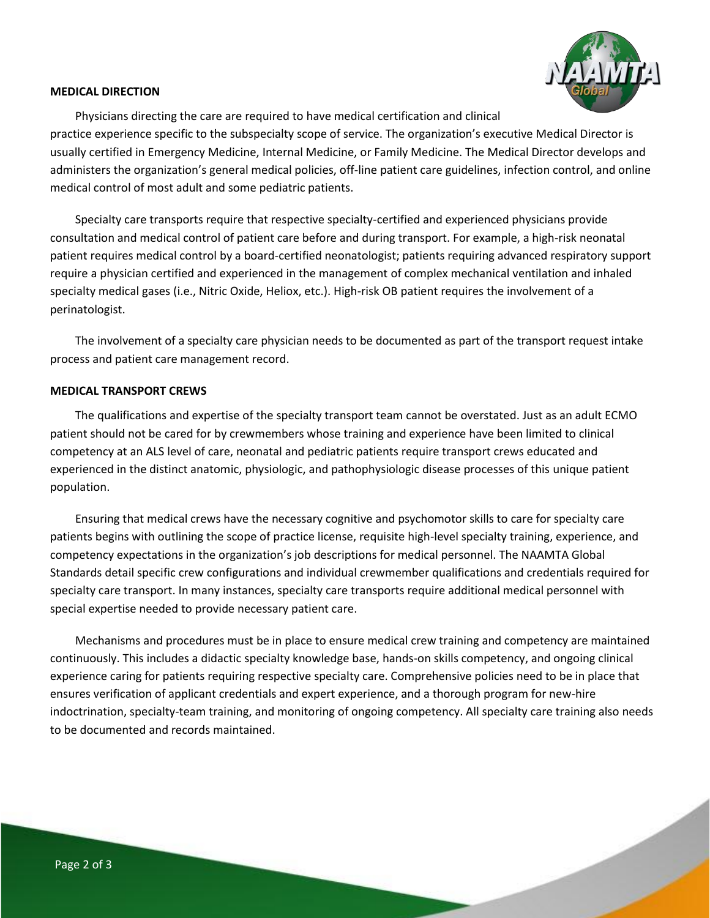

#### **MEDICAL DIRECTION**

Physicians directing the care are required to have medical certification and clinical practice experience specific to the subspecialty scope of service. The organization's executive Medical Director is usually certified in Emergency Medicine, Internal Medicine, or Family Medicine. The Medical Director develops and administers the organization's general medical policies, off-line patient care guidelines, infection control, and online medical control of most adult and some pediatric patients.

Specialty care transports require that respective specialty-certified and experienced physicians provide consultation and medical control of patient care before and during transport. For example, a high-risk neonatal patient requires medical control by a board-certified neonatologist; patients requiring advanced respiratory support require a physician certified and experienced in the management of complex mechanical ventilation and inhaled specialty medical gases (i.e., Nitric Oxide, Heliox, etc.). High-risk OB patient requires the involvement of a perinatologist.

The involvement of a specialty care physician needs to be documented as part of the transport request intake process and patient care management record.

#### **MEDICAL TRANSPORT CREWS**

The qualifications and expertise of the specialty transport team cannot be overstated. Just as an adult ECMO patient should not be cared for by crewmembers whose training and experience have been limited to clinical competency at an ALS level of care, neonatal and pediatric patients require transport crews educated and experienced in the distinct anatomic, physiologic, and pathophysiologic disease processes of this unique patient population.

Ensuring that medical crews have the necessary cognitive and psychomotor skills to care for specialty care patients begins with outlining the scope of practice license, requisite high-level specialty training, experience, and competency expectations in the organization's job descriptions for medical personnel. The NAAMTA Global Standards detail specific crew configurations and individual crewmember qualifications and credentials required for specialty care transport. In many instances, specialty care transports require additional medical personnel with special expertise needed to provide necessary patient care.

Mechanisms and procedures must be in place to ensure medical crew training and competency are maintained continuously. This includes a didactic specialty knowledge base, hands-on skills competency, and ongoing clinical experience caring for patients requiring respective specialty care. Comprehensive policies need to be in place that ensures verification of applicant credentials and expert experience, and a thorough program for new-hire indoctrination, specialty-team training, and monitoring of ongoing competency. All specialty care training also needs to be documented and records maintained.